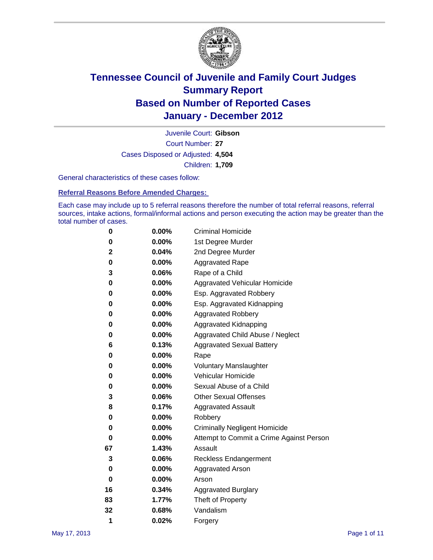

Court Number: **27** Juvenile Court: **Gibson** Cases Disposed or Adjusted: **4,504** Children: **1,709**

General characteristics of these cases follow:

**Referral Reasons Before Amended Charges:** 

Each case may include up to 5 referral reasons therefore the number of total referral reasons, referral sources, intake actions, formal/informal actions and person executing the action may be greater than the total number of cases.

| 0  | 0.00% | <b>Criminal Homicide</b>                 |
|----|-------|------------------------------------------|
| 0  | 0.00% | 1st Degree Murder                        |
| 2  | 0.04% | 2nd Degree Murder                        |
| 0  | 0.00% | <b>Aggravated Rape</b>                   |
| 3  | 0.06% | Rape of a Child                          |
| 0  | 0.00% | Aggravated Vehicular Homicide            |
| 0  | 0.00% | Esp. Aggravated Robbery                  |
| 0  | 0.00% | Esp. Aggravated Kidnapping               |
| 0  | 0.00% | <b>Aggravated Robbery</b>                |
| 0  | 0.00% | Aggravated Kidnapping                    |
| 0  | 0.00% | Aggravated Child Abuse / Neglect         |
| 6  | 0.13% | <b>Aggravated Sexual Battery</b>         |
| 0  | 0.00% | Rape                                     |
| 0  | 0.00% | <b>Voluntary Manslaughter</b>            |
| 0  | 0.00% | Vehicular Homicide                       |
| 0  | 0.00% | Sexual Abuse of a Child                  |
| 3  | 0.06% | <b>Other Sexual Offenses</b>             |
| 8  | 0.17% | <b>Aggravated Assault</b>                |
| 0  | 0.00% | Robbery                                  |
| 0  | 0.00% | <b>Criminally Negligent Homicide</b>     |
| 0  | 0.00% | Attempt to Commit a Crime Against Person |
| 67 | 1.43% | Assault                                  |
| 3  | 0.06% | <b>Reckless Endangerment</b>             |
| 0  | 0.00% | <b>Aggravated Arson</b>                  |
| 0  | 0.00% | Arson                                    |
| 16 | 0.34% | <b>Aggravated Burglary</b>               |
| 83 | 1.77% | Theft of Property                        |
| 32 | 0.68% | Vandalism                                |
| 1  | 0.02% | Forgery                                  |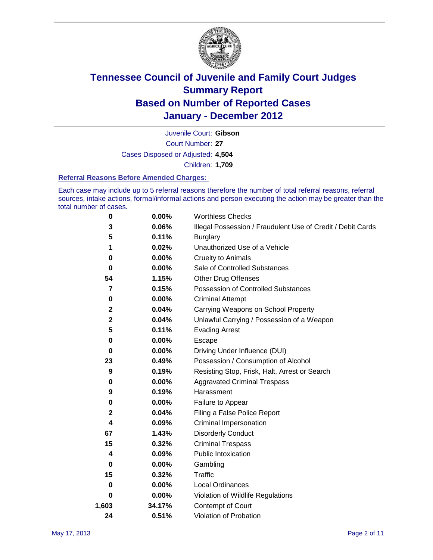

Court Number: **27** Juvenile Court: **Gibson** Cases Disposed or Adjusted: **4,504** Children: **1,709**

#### **Referral Reasons Before Amended Charges:**

Each case may include up to 5 referral reasons therefore the number of total referral reasons, referral sources, intake actions, formal/informal actions and person executing the action may be greater than the total number of cases.

| 0     | 0.00%    | <b>Worthless Checks</b>                                     |
|-------|----------|-------------------------------------------------------------|
| 3     | 0.06%    | Illegal Possession / Fraudulent Use of Credit / Debit Cards |
| 5     | 0.11%    | <b>Burglary</b>                                             |
| 1     | 0.02%    | Unauthorized Use of a Vehicle                               |
| 0     | $0.00\%$ | <b>Cruelty to Animals</b>                                   |
| 0     | $0.00\%$ | Sale of Controlled Substances                               |
| 54    | 1.15%    | <b>Other Drug Offenses</b>                                  |
| 7     | 0.15%    | Possession of Controlled Substances                         |
| 0     | $0.00\%$ | <b>Criminal Attempt</b>                                     |
| 2     | 0.04%    | Carrying Weapons on School Property                         |
| 2     | 0.04%    | Unlawful Carrying / Possession of a Weapon                  |
| 5     | 0.11%    | <b>Evading Arrest</b>                                       |
| 0     | $0.00\%$ | Escape                                                      |
| 0     | $0.00\%$ | Driving Under Influence (DUI)                               |
| 23    | 0.49%    | Possession / Consumption of Alcohol                         |
| 9     | 0.19%    | Resisting Stop, Frisk, Halt, Arrest or Search               |
| 0     | $0.00\%$ | <b>Aggravated Criminal Trespass</b>                         |
| 9     | 0.19%    | Harassment                                                  |
| 0     | 0.00%    | Failure to Appear                                           |
| 2     | 0.04%    | Filing a False Police Report                                |
| 4     | 0.09%    | Criminal Impersonation                                      |
| 67    | 1.43%    | <b>Disorderly Conduct</b>                                   |
| 15    | 0.32%    | <b>Criminal Trespass</b>                                    |
| 4     | 0.09%    | <b>Public Intoxication</b>                                  |
| 0     | 0.00%    | Gambling                                                    |
| 15    | 0.32%    | Traffic                                                     |
| 0     | $0.00\%$ | Local Ordinances                                            |
| 0     | 0.00%    | Violation of Wildlife Regulations                           |
| 1,603 | 34.17%   | Contempt of Court                                           |
| 24    | 0.51%    | Violation of Probation                                      |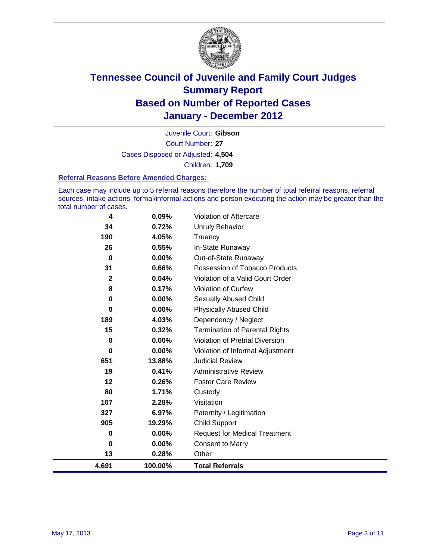

Court Number: **27** Juvenile Court: **Gibson** Cases Disposed or Adjusted: **4,504** Children: **1,709**

#### **Referral Reasons Before Amended Charges:**

Each case may include up to 5 referral reasons therefore the number of total referral reasons, referral sources, intake actions, formal/informal actions and person executing the action may be greater than the total number of cases.

| 4            | 0.09%   | Violation of Aftercare                 |
|--------------|---------|----------------------------------------|
| 34           | 0.72%   | <b>Unruly Behavior</b>                 |
| 190          | 4.05%   | Truancy                                |
| 26           | 0.55%   | In-State Runaway                       |
| $\bf{0}$     | 0.00%   | Out-of-State Runaway                   |
| 31           | 0.66%   | Possession of Tobacco Products         |
| $\mathbf{2}$ | 0.04%   | Violation of a Valid Court Order       |
| 8            | 0.17%   | Violation of Curfew                    |
| 0            | 0.00%   | Sexually Abused Child                  |
| $\bf{0}$     | 0.00%   | <b>Physically Abused Child</b>         |
| 189          | 4.03%   | Dependency / Neglect                   |
| 15           | 0.32%   | <b>Termination of Parental Rights</b>  |
| 0            | 0.00%   | <b>Violation of Pretrial Diversion</b> |
| 0            | 0.00%   | Violation of Informal Adjustment       |
| 651          | 13.88%  | <b>Judicial Review</b>                 |
| 19           | 0.41%   | <b>Administrative Review</b>           |
| 12           | 0.26%   | <b>Foster Care Review</b>              |
| 80           | 1.71%   | Custody                                |
| 107          | 2.28%   | Visitation                             |
| 327          | 6.97%   | Paternity / Legitimation               |
| 905          | 19.29%  | <b>Child Support</b>                   |
| 0            | 0.00%   | <b>Request for Medical Treatment</b>   |
| 0            | 0.00%   | <b>Consent to Marry</b>                |
| 13           | 0.28%   | Other                                  |
| 4,691        | 100.00% | <b>Total Referrals</b>                 |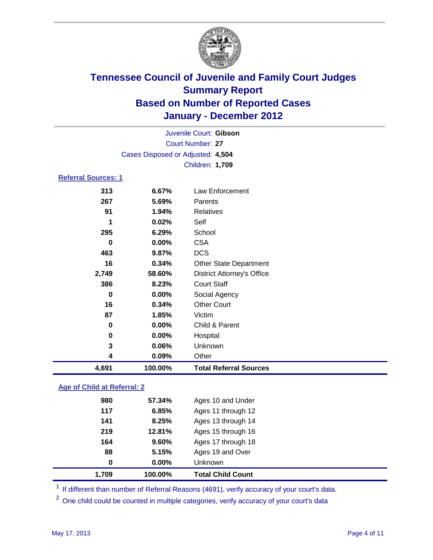

| Juvenile Court: Gibson             |          |                                   |  |  |
|------------------------------------|----------|-----------------------------------|--|--|
| Court Number: 27                   |          |                                   |  |  |
| Cases Disposed or Adjusted: 4,504  |          |                                   |  |  |
|                                    |          | Children: 1,709                   |  |  |
| <b>Referral Sources: 1</b>         |          |                                   |  |  |
| 313                                | 6.67%    | <b>Law Enforcement</b>            |  |  |
| 267                                | 5.69%    | Parents                           |  |  |
| 91                                 | 1.94%    | <b>Relatives</b>                  |  |  |
| 1                                  | 0.02%    | Self                              |  |  |
| 295                                | 6.29%    | School                            |  |  |
| 0                                  | 0.00%    | <b>CSA</b>                        |  |  |
| 463                                | 9.87%    | <b>DCS</b>                        |  |  |
| 16                                 | 0.34%    | <b>Other State Department</b>     |  |  |
| 2,749                              | 58.60%   | <b>District Attorney's Office</b> |  |  |
| 386                                | 8.23%    | <b>Court Staff</b>                |  |  |
| $\bf{0}$                           | 0.00%    | Social Agency                     |  |  |
| 16                                 | 0.34%    | <b>Other Court</b>                |  |  |
| 87                                 | 1.85%    | Victim                            |  |  |
| 0                                  | $0.00\%$ | Child & Parent                    |  |  |
| 0                                  | 0.00%    | Hospital                          |  |  |
| 3                                  | 0.06%    | Unknown                           |  |  |
| 4                                  | 0.09%    | Other                             |  |  |
| 4,691                              | 100.00%  | <b>Total Referral Sources</b>     |  |  |
| <b>Age of Child at Referral: 2</b> |          |                                   |  |  |

| 1.709 | 100.00%  | <b>Total Child Count</b> |
|-------|----------|--------------------------|
| 0     | $0.00\%$ | <b>Unknown</b>           |
| 88    | 5.15%    | Ages 19 and Over         |
| 164   | 9.60%    | Ages 17 through 18       |
| 219   | 12.81%   | Ages 15 through 16       |
| 141   | 8.25%    | Ages 13 through 14       |
| 117   | 6.85%    | Ages 11 through 12       |
| 980   | 57.34%   | Ages 10 and Under        |
|       |          |                          |

<sup>1</sup> If different than number of Referral Reasons (4691), verify accuracy of your court's data.

<sup>2</sup> One child could be counted in multiple categories, verify accuracy of your court's data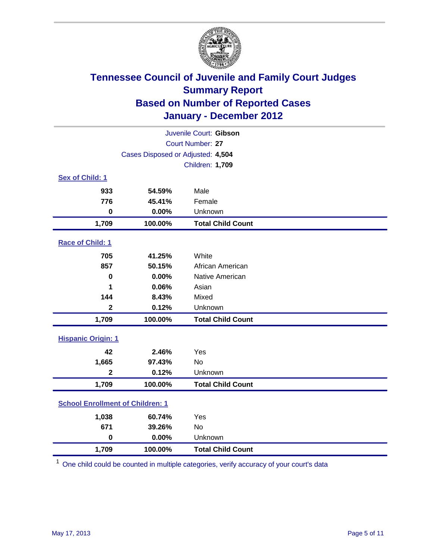

| Juvenile Court: Gibson                  |                                   |                          |  |  |
|-----------------------------------------|-----------------------------------|--------------------------|--|--|
|                                         | Court Number: 27                  |                          |  |  |
|                                         | Cases Disposed or Adjusted: 4,504 |                          |  |  |
|                                         |                                   | Children: 1,709          |  |  |
| Sex of Child: 1                         |                                   |                          |  |  |
| 933                                     | 54.59%                            | Male                     |  |  |
| 776                                     | 45.41%                            | Female                   |  |  |
| $\bf{0}$                                | 0.00%                             | Unknown                  |  |  |
| 1,709                                   | 100.00%                           | <b>Total Child Count</b> |  |  |
| Race of Child: 1                        |                                   |                          |  |  |
| 705                                     | 41.25%                            | White                    |  |  |
| 857                                     | 50.15%                            | African American         |  |  |
| $\mathbf 0$                             | 0.00%                             | Native American          |  |  |
| 1                                       | 0.06%                             | Asian                    |  |  |
| 144                                     | 8.43%                             | Mixed                    |  |  |
| $\mathbf{2}$                            | 0.12%                             | Unknown                  |  |  |
| 1,709                                   | 100.00%                           | <b>Total Child Count</b> |  |  |
| <b>Hispanic Origin: 1</b>               |                                   |                          |  |  |
| 42                                      | 2.46%                             | Yes                      |  |  |
| 1,665                                   | 97.43%                            | <b>No</b>                |  |  |
| $\overline{\mathbf{2}}$                 | 0.12%                             | Unknown                  |  |  |
| 1,709                                   | 100.00%                           | <b>Total Child Count</b> |  |  |
| <b>School Enrollment of Children: 1</b> |                                   |                          |  |  |
| 1,038                                   | 60.74%                            | Yes                      |  |  |
| 671                                     | 39.26%                            | <b>No</b>                |  |  |
| $\mathbf 0$                             | 0.00%                             | Unknown                  |  |  |
| 1,709                                   | 100.00%                           | <b>Total Child Count</b> |  |  |

<sup>1</sup> One child could be counted in multiple categories, verify accuracy of your court's data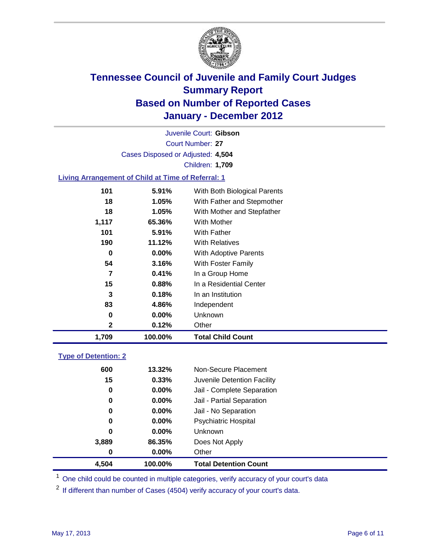

Court Number: **27** Juvenile Court: **Gibson** Cases Disposed or Adjusted: **4,504** Children: **1,709**

#### **Living Arrangement of Child at Time of Referral: 1**

| 1,709 | 100.00%  | <b>Total Child Count</b>     |
|-------|----------|------------------------------|
| 2     | 0.12%    | Other                        |
| 0     | 0.00%    | Unknown                      |
| 83    | 4.86%    | Independent                  |
| 3     | 0.18%    | In an Institution            |
| 15    | 0.88%    | In a Residential Center      |
| 7     | 0.41%    | In a Group Home              |
| 54    | 3.16%    | With Foster Family           |
| 0     | $0.00\%$ | With Adoptive Parents        |
| 190   | 11.12%   | <b>With Relatives</b>        |
| 101   | 5.91%    | With Father                  |
| 1,117 | 65.36%   | With Mother                  |
| 18    | 1.05%    | With Mother and Stepfather   |
| 18    | 1.05%    | With Father and Stepmother   |
| 101   | 5.91%    | With Both Biological Parents |
|       |          |                              |

### **Type of Detention: 2**

| 4,504 | 100.00%  | <b>Total Detention Count</b> |  |
|-------|----------|------------------------------|--|
| 0     | $0.00\%$ | Other                        |  |
| 3,889 | 86.35%   | Does Not Apply               |  |
| 0     | $0.00\%$ | Unknown                      |  |
| 0     | $0.00\%$ | <b>Psychiatric Hospital</b>  |  |
| 0     | 0.00%    | Jail - No Separation         |  |
| 0     | $0.00\%$ | Jail - Partial Separation    |  |
| 0     | 0.00%    | Jail - Complete Separation   |  |
| 15    | 0.33%    | Juvenile Detention Facility  |  |
| 600   | 13.32%   | Non-Secure Placement         |  |
|       |          |                              |  |

<sup>1</sup> One child could be counted in multiple categories, verify accuracy of your court's data

<sup>2</sup> If different than number of Cases (4504) verify accuracy of your court's data.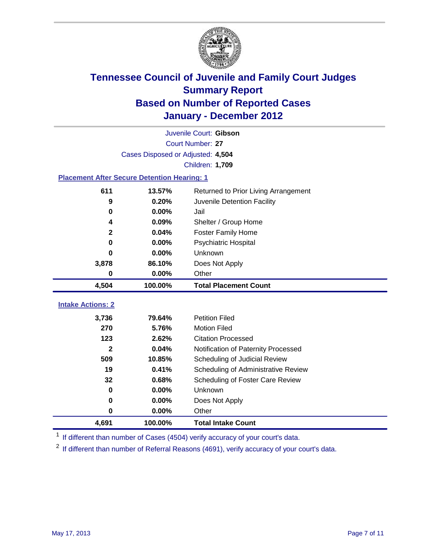

|                                                    | Juvenile Court: Gibson            |                                      |  |  |  |
|----------------------------------------------------|-----------------------------------|--------------------------------------|--|--|--|
|                                                    | <b>Court Number: 27</b>           |                                      |  |  |  |
|                                                    | Cases Disposed or Adjusted: 4,504 |                                      |  |  |  |
|                                                    |                                   | <b>Children: 1,709</b>               |  |  |  |
| <b>Placement After Secure Detention Hearing: 1</b> |                                   |                                      |  |  |  |
| 611                                                | 13.57%                            | Returned to Prior Living Arrangement |  |  |  |
| $\boldsymbol{9}$                                   | 0.20%                             | Juvenile Detention Facility          |  |  |  |
| $\bf{0}$                                           | 0.00%                             | Jail                                 |  |  |  |
| 4                                                  | 0.09%                             | Shelter / Group Home                 |  |  |  |
| $\mathbf{2}$                                       | 0.04%                             | Foster Family Home                   |  |  |  |
| $\bf{0}$                                           | 0.00%                             | Psychiatric Hospital                 |  |  |  |
| 0                                                  | 0.00%                             | Unknown                              |  |  |  |
| 3,878                                              | 86.10%                            | Does Not Apply                       |  |  |  |
| $\mathbf 0$                                        | 0.00%                             | Other                                |  |  |  |
| 4,504                                              | 100.00%                           | <b>Total Placement Count</b>         |  |  |  |
| <b>Intake Actions: 2</b>                           |                                   |                                      |  |  |  |
| 3,736                                              | 79.64%                            | <b>Petition Filed</b>                |  |  |  |
| 270                                                | 5.76%                             | <b>Motion Filed</b>                  |  |  |  |
| 123                                                | 2.62%                             | <b>Citation Processed</b>            |  |  |  |
| $\mathbf{2}$                                       | 0.04%                             | Notification of Paternity Processed  |  |  |  |
| 509                                                | 10.85%                            | Scheduling of Judicial Review        |  |  |  |
| 19                                                 | 0.41%                             | Scheduling of Administrative Review  |  |  |  |
| 32                                                 | 0.68%                             | Scheduling of Foster Care Review     |  |  |  |
| $\bf{0}$                                           | 0.00%                             | <b>Unknown</b>                       |  |  |  |
| $\bf{0}$                                           | 0.00%                             | Does Not Apply                       |  |  |  |
| 0                                                  | 0.00%                             | Other                                |  |  |  |
| 4,691                                              | 100.00%                           | <b>Total Intake Count</b>            |  |  |  |

<sup>1</sup> If different than number of Cases (4504) verify accuracy of your court's data.

<sup>2</sup> If different than number of Referral Reasons (4691), verify accuracy of your court's data.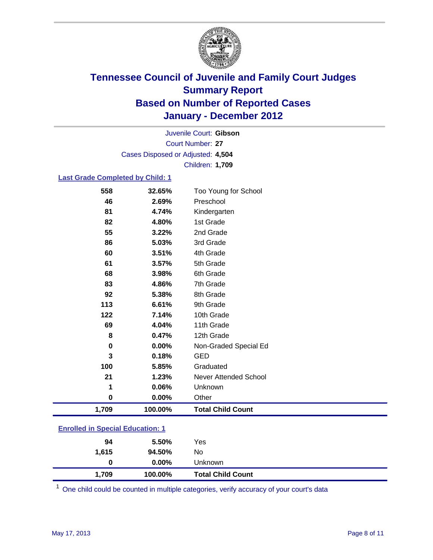

Court Number: **27** Juvenile Court: **Gibson** Cases Disposed or Adjusted: **4,504** Children: **1,709**

#### **Last Grade Completed by Child: 1**

| 558                                     | 32.65%  | Too Young for School         |  |
|-----------------------------------------|---------|------------------------------|--|
| 46                                      | 2.69%   | Preschool                    |  |
| 81                                      | 4.74%   | Kindergarten                 |  |
| 82                                      | 4.80%   | 1st Grade                    |  |
| 55                                      | 3.22%   | 2nd Grade                    |  |
| 86                                      | 5.03%   | 3rd Grade                    |  |
| 60                                      | 3.51%   | 4th Grade                    |  |
| 61                                      | 3.57%   | 5th Grade                    |  |
| 68                                      | 3.98%   | 6th Grade                    |  |
| 83                                      | 4.86%   | 7th Grade                    |  |
| 92                                      | 5.38%   | 8th Grade                    |  |
| 113                                     | 6.61%   | 9th Grade                    |  |
| 122                                     | 7.14%   | 10th Grade                   |  |
| 69                                      | 4.04%   | 11th Grade                   |  |
| 8                                       | 0.47%   | 12th Grade                   |  |
| 0                                       | 0.00%   | Non-Graded Special Ed        |  |
| 3                                       | 0.18%   | <b>GED</b>                   |  |
| 100                                     | 5.85%   | Graduated                    |  |
| 21                                      | 1.23%   | <b>Never Attended School</b> |  |
| 1                                       | 0.06%   | Unknown                      |  |
| $\bf{0}$                                | 0.00%   | Other                        |  |
| 1,709                                   | 100.00% | <b>Total Child Count</b>     |  |
| <b>Enrolled in Special Education: 1</b> |         |                              |  |

| 1,709                                                                                                             | 100.00%  | <b>Total Child Count</b> |  |  |
|-------------------------------------------------------------------------------------------------------------------|----------|--------------------------|--|--|
| 0                                                                                                                 | $0.00\%$ | Unknown                  |  |  |
| 1,615                                                                                                             | 94.50%   | No                       |  |  |
| 94                                                                                                                | 5.50%    | Yes                      |  |  |
| $\mathbf{r}$ $\mathbf{v}$ $\mathbf{v}$ , $\mathbf{v}$ , $\mathbf{v}$ , $\mathbf{v}$ , $\mathbf{v}$ , $\mathbf{v}$ |          |                          |  |  |

One child could be counted in multiple categories, verify accuracy of your court's data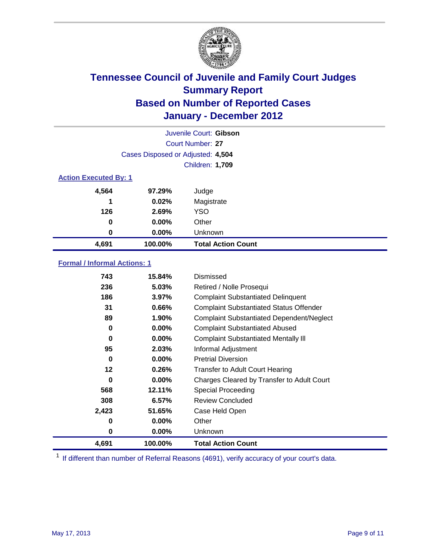

|                              | Juvenile Court: Gibson            |                           |  |  |  |
|------------------------------|-----------------------------------|---------------------------|--|--|--|
|                              | Court Number: 27                  |                           |  |  |  |
|                              | Cases Disposed or Adjusted: 4,504 |                           |  |  |  |
|                              | Children: 1,709                   |                           |  |  |  |
| <b>Action Executed By: 1</b> |                                   |                           |  |  |  |
| 4,564                        | 97.29%                            | Judge                     |  |  |  |
| 1                            | 0.02%                             | Magistrate                |  |  |  |
| 126                          | 2.69%                             | <b>YSO</b>                |  |  |  |
| 0                            | 0.00%                             | Other                     |  |  |  |
| 0                            | 0.00%                             | Unknown                   |  |  |  |
| 4,691                        | 100.00%                           | <b>Total Action Count</b> |  |  |  |

### **Formal / Informal Actions: 1**

| 743     | 15.84%   | Dismissed                                        |
|---------|----------|--------------------------------------------------|
| 236     | 5.03%    | Retired / Nolle Prosequi                         |
| 186     | 3.97%    | <b>Complaint Substantiated Delinquent</b>        |
| 31      | 0.66%    | <b>Complaint Substantiated Status Offender</b>   |
| 89      | 1.90%    | <b>Complaint Substantiated Dependent/Neglect</b> |
| 0       | $0.00\%$ | <b>Complaint Substantiated Abused</b>            |
| 0       | $0.00\%$ | <b>Complaint Substantiated Mentally III</b>      |
| 95      | 2.03%    | Informal Adjustment                              |
| 0       | $0.00\%$ | <b>Pretrial Diversion</b>                        |
| $12 \,$ | 0.26%    | <b>Transfer to Adult Court Hearing</b>           |
| 0       | $0.00\%$ | Charges Cleared by Transfer to Adult Court       |
| 568     | 12.11%   | <b>Special Proceeding</b>                        |
| 308     | 6.57%    | <b>Review Concluded</b>                          |
| 2,423   | 51.65%   | Case Held Open                                   |
| 0       | $0.00\%$ | Other                                            |
| 0       | $0.00\%$ | <b>Unknown</b>                                   |
| 4,691   | 100.00%  | <b>Total Action Count</b>                        |

<sup>1</sup> If different than number of Referral Reasons (4691), verify accuracy of your court's data.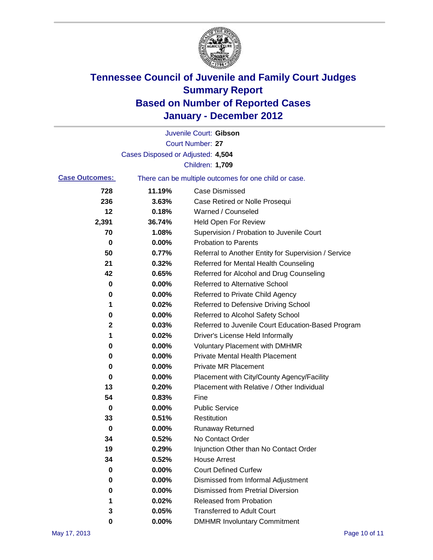

|                       |                                   | Juvenile Court: Gibson                                |
|-----------------------|-----------------------------------|-------------------------------------------------------|
|                       |                                   | Court Number: 27                                      |
|                       | Cases Disposed or Adjusted: 4,504 |                                                       |
|                       |                                   | Children: 1,709                                       |
| <b>Case Outcomes:</b> |                                   | There can be multiple outcomes for one child or case. |
| 728                   | 11.19%                            | <b>Case Dismissed</b>                                 |
| 236                   | 3.63%                             | Case Retired or Nolle Prosequi                        |
| 12                    | 0.18%                             | Warned / Counseled                                    |
| 2,391                 | 36.74%                            | Held Open For Review                                  |
| 70                    | 1.08%                             | Supervision / Probation to Juvenile Court             |
| 0                     | 0.00%                             | <b>Probation to Parents</b>                           |
| 50                    | 0.77%                             | Referral to Another Entity for Supervision / Service  |
| 21                    | 0.32%                             | Referred for Mental Health Counseling                 |
| 42                    | 0.65%                             | Referred for Alcohol and Drug Counseling              |
| 0                     | 0.00%                             | <b>Referred to Alternative School</b>                 |
| 0                     | 0.00%                             | Referred to Private Child Agency                      |
| 1                     | 0.02%                             | Referred to Defensive Driving School                  |
| 0                     | 0.00%                             | Referred to Alcohol Safety School                     |
| 2                     | 0.03%                             | Referred to Juvenile Court Education-Based Program    |
| 1                     | 0.02%                             | Driver's License Held Informally                      |
| 0                     | 0.00%                             | <b>Voluntary Placement with DMHMR</b>                 |
| 0                     | 0.00%                             | <b>Private Mental Health Placement</b>                |
| 0                     | 0.00%                             | <b>Private MR Placement</b>                           |
| 0                     | 0.00%                             | Placement with City/County Agency/Facility            |
| 13                    | 0.20%                             | Placement with Relative / Other Individual            |
| 54                    | 0.83%                             | Fine                                                  |
| 0                     | 0.00%                             | <b>Public Service</b>                                 |
| 33                    | 0.51%                             | Restitution                                           |
| 0                     | 0.00%                             | <b>Runaway Returned</b>                               |
| 34                    | 0.52%                             | No Contact Order                                      |
| 19                    | 0.29%                             | Injunction Other than No Contact Order                |
| 34                    | 0.52%                             | <b>House Arrest</b>                                   |
| 0                     | 0.00%                             | <b>Court Defined Curfew</b>                           |
| 0                     | 0.00%                             | Dismissed from Informal Adjustment                    |
| 0                     | 0.00%                             | <b>Dismissed from Pretrial Diversion</b>              |
| 1                     | 0.02%                             | Released from Probation                               |
| 3                     | 0.05%                             | <b>Transferred to Adult Court</b>                     |
| 0                     | $0.00\%$                          | <b>DMHMR Involuntary Commitment</b>                   |